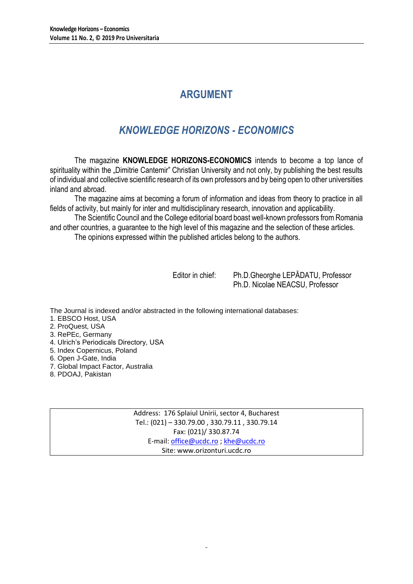# **ARGUMENT**

# *KNOWLEDGE HORIZONS - ECONOMICS*

The magazine **KNOWLEDGE HORIZONS-ECONOMICS** intends to become a top lance of spirituality within the "Dimitrie Cantemir" Christian University and not only, by publishing the best results of individual and collective scientific research of its own professors and by being open to other universities inland and abroad.

The magazine aims at becoming a forum of information and ideas from theory to practice in all fields of activity, but mainly for inter and multidisciplinary research, innovation and applicability.

The Scientific Council and the College editorial board boast well-known professors from Romania and other countries, a guarantee to the high level of this magazine and the selection of these articles.

The opinions expressed within the published articles belong to the authors.

Editor in chief: Ph.D.Gheorghe LEPĂDATU, Professor Ph.D. Nicolae NEACSU, Professor

The Journal is indexed and/or abstracted in the following international databases:

- 1. EBSCO Host, USA
- 2. ProQuest, USA
- 3. RePEc, Germany
- 4. Ulrich's Periodicals Directory, USA
- 5. Index Copernicus, Poland
- 6. Open J-Gate, India
- 7. Global Impact Factor, Australia
- 8. PDOAJ, Pakistan

Address: 176 Splaiul Unirii, sector 4, Bucharest Tel.: (021) – 330.79.00 , 330.79.11 , 330.79.14 Fax: (021)/ 330.87.74 E-mail[: office@ucdc.ro](mailto:office@ucdc.ro) [; khe@ucdc.ro](mailto:khe@ucdc.ro) Site: www.orizonturi.ucdc.ro

 $\overline{a}$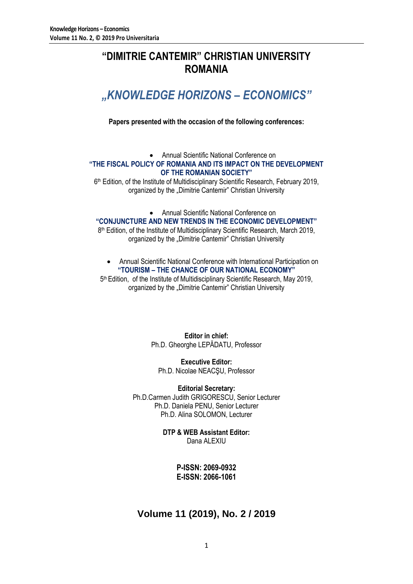# **"DIMITRIE CANTEMIR" CHRISTIAN UNIVERSITY ROMANIA**

# *"KNOWLEDGE HORIZONS – ECONOMICS"*

**Papers presented with the occasion of the following conferences:**

### Annual Scientific National Conference on **"THE FISCAL POLICY OF ROMANIA AND ITS IMPACT ON THE DEVELOPMENT OF THE ROMANIAN SOCIETY"**

6<sup>th</sup> Edition, of the Institute of Multidisciplinary Scientific Research, February 2019, organized by the "Dimitrie Cantemir" Christian University

Annual Scientific National Conference on

**"CONJUNCTURE AND NEW TRENDS IN THE ECONOMIC DEVELOPMENT"**

8<sup>th</sup> Edition, of the Institute of Multidisciplinary Scientific Research, March 2019, organized by the "Dimitrie Cantemir" Christian University

 Annual Scientific National Conference with International Participation on **"TOURISM – THE CHANCE OF OUR NATIONAL ECONOMY"**

5<sup>th</sup> Edition, of the Institute of Multidisciplinary Scientific Research, May 2019, organized by the "Dimitrie Cantemir" Christian University

> **Editor in chief:** Ph.D. Gheorghe LEPĂDATU, Professor

**Executive Editor:** Ph.D. Nicolae NEACŞU, Professor

**Editorial Secretary:** Ph.D.Carmen Judith GRIGORESCU, Senior Lecturer Ph.D. Daniela PENU, Senior Lecturer Ph.D. Alina SOLOMON, Lecturer

> **DTP & WEB Assistant Editor:** Dana ALEXIU

> > **P-ISSN: 2069-0932 E-ISSN: 2066-1061**

## **Volume 11 (2019), No. 2 / 2019**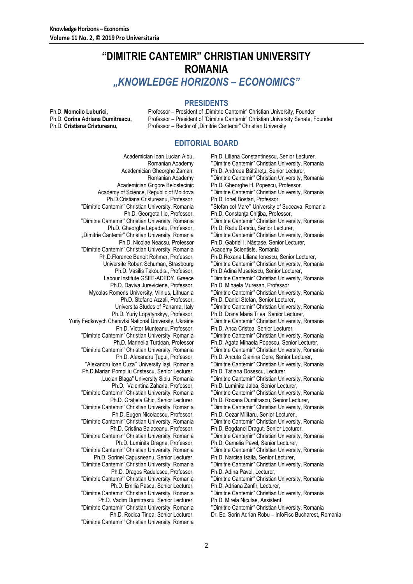## **"DIMITRIE CANTEMIR" CHRISTIAN UNIVERSITY ROMANIA** *"KNOWLEDGE HORIZONS – ECONOMICS"*

### **PRESIDENTS**

Ph.D. **Momcilo Luburici, Professor – President of "Dimitrie Cantemir" Christian University, Founder Ph.D. Corina Adriana Dumitrescu.** Professor – President of "Dimitrie Cantemir" Christian University Senate. F Professor – President of "Dimitrie Cantemir" Christian University Senate, Founder Ph.D. **Cristiana Cristureanu,** Professor – Rector of "Dimitrie Cantemir" Christian University

### **EDITORIAL BOARD**

Academician Ioan Lucian Albu, Romanian Academy Academician Gheorghe Zaman, Romanian Academy Academician Grigore Belostecinic Academy of Science, Republic of Moldova Ph.D.Cristiana Cristureanu, Professor, ''Dimitrie Cantemir'' Christian University, Romania Ph.D. Georgeta Ilie, Professor, ''Dimitrie Cantemir'' Christian University, Romania Ph.D. Gheorghe Lepadatu, Professor, "Dimitrie Cantemir" Christian University, Romania Ph.D. Nicolae Neacsu, Professor ''Dimitrie Cantemir'' Christian University, Romania Ph.D.Florence Benoit Rohmer, Professor, Universite Robert Schuman, Strasbourg Ph.D. Vasilis Takoudis., Professor, Labour Institute GSEE-ADEDY, Greece Ph.D. Daviva Jureviciene, Professor, Mycolas Romeris University, Vilnius, Lithuania Ph.D. Stefano Azzali, Professor, Universita Studes of Panama, Italy Ph.D. Yuriy Lopatynskyy, Professor, Yuriy Fedkovych Chenivtsi National University, Ukraine Ph.D. Victor Munteanu, Professor, ''Dimitrie Cantemir'' Christian University, Romania Ph.D. Marinella Turdean, Professor ''Dimitrie Cantemir'' Christian University, Romania Ph.D. Alexandru Ţugui, Professor, ''Alexandru Ioan Cuza'' University Iaşi, Romania Ph.D.Marian Pompiliu Cristescu, Senior Lecturer, "Lucian Blaga" University Sibiu, Romania Ph.D. Valentina Zaharia, Professor, ''Dimitrie Cantemir'' Christian University, Romania Ph.D. Grațiela Ghic, Senior Lecturer, ''Dimitrie Cantemir'' Christian University, Romania Ph.D. Eugen Nicolaescu, Professor, ''Dimitrie Cantemir'' Christian University, Romania Ph.D. Cristina Balaceanu, Professor, ''Dimitrie Cantemir'' Christian University, Romania Ph.D. Luminita Dragne, Professor, ''Dimitrie Cantemir'' Christian University, Romania Ph.D. Sorinel Capusneanu, Senior Lecturer, ''Dimitrie Cantemir'' Christian University, Romania Ph.D. Dragos Radulescu, Professor, ''Dimitrie Cantemir'' Christian University, Romania Ph.D. Emilia Pascu, Senior Lecturer, ''Dimitrie Cantemir'' Christian University, Romania Ph.D. Vadim Dumitrascu, Senior Lecturer, ''Dimitrie Cantemir'' Christian University, Romania

Ph.D. Rodica Tirlea, Senior Lecturer, ''Dimitrie Cantemir'' Christian University, Romania

Ph.D. Liliana Constantinescu, Senior Lecturer, ''Dimitrie Cantemir'' Christian University, Romania Ph.D. Andreea Băltăreţu, Senior Lecturer, ''Dimitrie Cantemir'' Christian University, Romania Ph.D. Gheorghe H. Popescu, Professor, ''Dimitrie Cantemir'' Christian University, Romania Ph.D. Ionel Bostan, Professor, ''Stefan cel Mare'' University of Suceava, Romania Ph.D. Constanța Chițiba, Professor, ''Dimitrie Cantemir'' Christian University, Romania Ph.D. Radu Danciu, Senior Lecturer, ''Dimitrie Cantemir'' Christian University, Romania Ph.D. Gabriel I. Năstase, Senior Lecturer, Academy Scientists, Romania Ph.D.Roxana Liliana Ionescu, Senior Lecturer, ''Dimitrie Cantemir'' Christian University, Romania Ph.D.Adina Musetescu, Senior Lecturer, ''Dimitrie Cantemir'' Christian University, Romania Ph.D. Mihaela Muresan, Professor ''Dimitrie Cantemir'' Christian University, Romania Ph.D. Daniel Stefan, Senior Lecturer, ''Dimitrie Cantemir'' Christian University, Romania Ph.D. Doina Maria Tilea, Senior Lecturer, ''Dimitrie Cantemir'' Christian University, Romania Ph.D. Anca Cristea, Senior Lecturer, ''Dimitrie Cantemir'' Christian University, Romania Ph.D. Agata Mihaela Popescu, Senior Lecturer, ''Dimitrie Cantemir'' Christian University, Romania Ph.D. Ancuta Gianina Opre, Senior Lecturer, ''Dimitrie Cantemir'' Christian University, Romania Ph.D. Tatiana Dosescu, Lecturer, ''Dimitrie Cantemir'' Christian University, Romania Ph.D. Luminita Jalba, Senior Lecturer, ''Dimitrie Cantemir'' Christian University, Romania Ph.D. Roxana Dumitrascu, Senior Lecturer, ''Dimitrie Cantemir'' Christian University, Romania Ph.D. Cezar Militaru, Senior Lecturer., ''Dimitrie Cantemir'' Christian University, Romania Ph.D. Bogdanel Dragut, Senior Lecturer, ''Dimitrie Cantemir'' Christian University, Romania Ph.D. Camelia Pavel, Senior Lecturer, ''Dimitrie Cantemir'' Christian University, Romania Ph.D. Narcisa Isaila, Senior Lecturer, ''Dimitrie Cantemir'' Christian University, Romania Ph.D. Adina Pavel, Lecturer, ''Dimitrie Cantemir'' Christian University, Romania Ph.D. Adriana Zanfir, Lecturer, ''Dimitrie Cantemir'' Christian University, Romania Ph.D. Mirela Niculae, Assistent,

Dr. Ec. Sorin Adrian Robu – InfoFisc Bucharest, Romania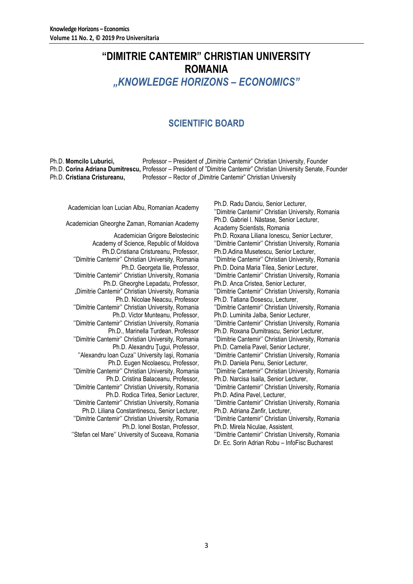# **"DIMITRIE CANTEMIR" CHRISTIAN UNIVERSITY ROMANIA** *"KNOWLEDGE HORIZONS – ECONOMICS"*

## **SCIENTIFIC BOARD**

Ph.D. **Momcilo Luburici,** Professor – President of "Dimitrie Cantemir" Christian University, Founder Ph.D. **Corina Adriana Dumitrescu,** Professor – President of "Dimitrie Cantemir" Christian University Senate, Founder Ph.D. **Cristiana Cristureanu,** Professor – Rector of "Dimitrie Cantemir" Christian University

Academician Grigore Belostecinic Academy of Science, Republic of Moldova Ph.D.Cristiana Cristureanu, Professor, ''Dimitrie Cantemir'' Christian University, Romania Ph.D. Georgeta Ilie, Professor, ''Dimitrie Cantemir'' Christian University, Romania Ph.D. Gheorghe Lepadatu, Professor, "Dimitrie Cantemir" Christian University, Romania Ph.D. Nicolae Neacsu, Professor ''Dimitrie Cantemir'' Christian University, Romania Ph.D. Victor Munteanu, Professor, ''Dimitrie Cantemir'' Christian University, Romania Ph.D., Marinella Turdean, Professor ''Dimitrie Cantemir'' Christian University, Romania Ph.D. Alexandru Tugui, Professor, ''Alexandru Ioan Cuza'' University Iaşi, Romania Ph.D. Eugen Nicolaescu, Professor, ''Dimitrie Cantemir'' Christian University, Romania Ph.D. Cristina Balaceanu, Professor, ''Dimitrie Cantemir'' Christian University, Romania Ph.D. Rodica Tirlea, Senior Lecturer, ''Dimitrie Cantemir'' Christian University, Romania Ph.D. Liliana Constantinescu, Senior Lecturer, ''Dimitrie Cantemir'' Christian University, Romania Ph.D. Ionel Bostan, Professor, ''Stefan cel Mare'' University of Suceava, Romania

Academician Ioan Lucian Albu, Romanian Academy<br>
Ph.D. Radu Danciu, Senior Lecturer, Academy Philippine University Orgination University ''Dimitrie Cantemir'' Christian University, Romania Academician Gheorghe Zaman, Romanian Academy Ph.D. Gabriel I. Năstase, Senior Lecturer, Academy Scientists, Romania Ph.D. Roxana Liliana Ionescu, Senior Lecturer, ''Dimitrie Cantemir'' Christian University, Romania Ph.D.Adina Musetescu, Senior Lecturer, ''Dimitrie Cantemir'' Christian University, Romania Ph.D. Doina Maria Tilea, Senior Lecturer, ''Dimitrie Cantemir'' Christian University, Romania Ph.D. Anca Cristea, Senior Lecturer, ''Dimitrie Cantemir'' Christian University, Romania Ph.D. Tatiana Dosescu, Lecturer, ''Dimitrie Cantemir'' Christian University, Romania Ph.D. Luminita Jalba, Senior Lecturer, ''Dimitrie Cantemir'' Christian University, Romania Ph.D. Roxana Dumitrascu, Senior Lecturer, ''Dimitrie Cantemir'' Christian University, Romania Ph.D. Camelia Pavel, Senior Lecturer, ''Dimitrie Cantemir'' Christian University, Romania Ph.D. Daniela Penu, Senior Lecturer, ''Dimitrie Cantemir'' Christian University, Romania Ph.D. Narcisa Isaila, Senior Lecturer, ''Dimitrie Cantemir'' Christian University, Romania Ph.D. Adina Pavel, Lecturer, ''Dimitrie Cantemir'' Christian University, Romania Ph.D. Adriana Zanfir, Lecturer, ''Dimitrie Cantemir'' Christian University, Romania Ph.D. Mirela Niculae, Assistent, ''Dimitrie Cantemir'' Christian University, Romania

Dr. Ec. Sorin Adrian Robu – InfoFisc Bucharest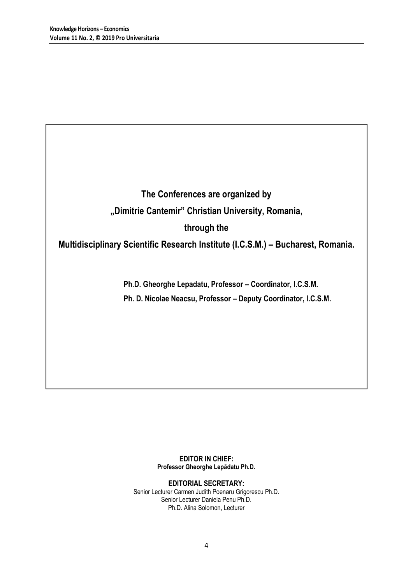**The Conferences are organized by "Dimitrie Cantemir" Christian University, Romania, through the** 

**Multidisciplinary Scientific Research Institute (I.C.S.M.) – Bucharest, Romania.**

**Ph.D. Gheorghe Lepadatu, Professor – Coordinator, I.C.S.M. Ph. D. Nicolae Neacsu, Professor – Deputy Coordinator, I.C.S.M.**

> **EDITOR IN CHIEF: Professor Gheorghe Lepădatu Ph.D.**

**EDITORIAL SECRETARY:** Senior Lecturer Carmen Judith Poenaru Grigorescu Ph.D. Senior Lecturer Daniela Penu Ph.D. Ph.D. Alina Solomon, Lecturer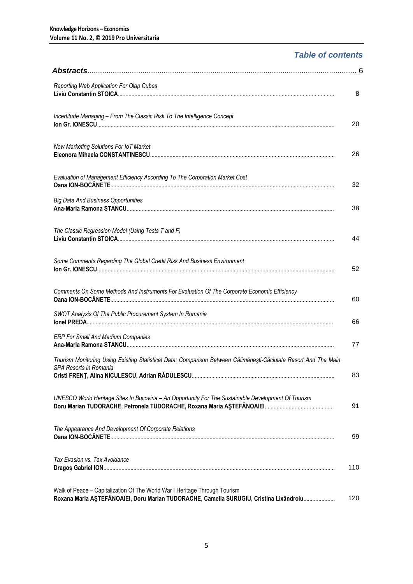## *Table of contents*

| Reporting Web Application For Olap Cubes                                                                                                                             | 8   |
|----------------------------------------------------------------------------------------------------------------------------------------------------------------------|-----|
| Incertitude Managing - From The Classic Risk To The Intelligence Concept                                                                                             | 20  |
| New Marketing Solutions For IoT Market                                                                                                                               | 26  |
| Evaluation of Management Efficiency According To The Corporation Market Cost                                                                                         | 32  |
| <b>Big Data And Business Opportunities</b>                                                                                                                           | 38  |
| The Classic Regression Model (Using Tests T and F)                                                                                                                   | 44  |
| Some Comments Regarding The Global Credit Risk And Business Environment                                                                                              | 52  |
| Comments On Some Methods And Instruments For Evaluation Of The Corporate Economic Efficiency                                                                         | 60  |
| SWOT Analysis Of The Public Procurement System In Romania                                                                                                            | 66  |
| <b>ERP For Small And Medium Companies</b>                                                                                                                            | 77  |
| Tourism Monitoring Using Existing Statistical Data: Comparison Between Călimănești-Căciulata Resort And The Main<br>SPA Resorts in Romania                           | 83  |
| UNESCO World Heritage Sites In Bucovina - An Opportunity For The Sustainable Development Of Tourism                                                                  | 91  |
| The Appearance And Development Of Corporate Relations                                                                                                                | 99  |
| Tax Evasion vs. Tax Avoidance                                                                                                                                        | 110 |
| Walk of Peace - Capitalization Of The World War I Heritage Through Tourism<br>Roxana Maria AȘTEFĂNOAIEI, Doru Marian TUDORACHE, Camelia SURUGIU, Cristina Lixăndroiu | 120 |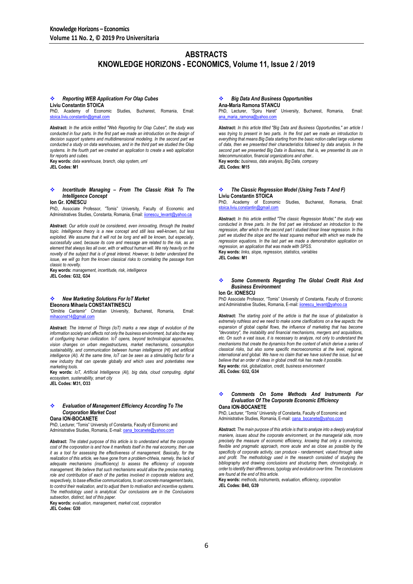### **ABSTRACTS KNOWLEDGE HORIZONS - ECONOMICS, Volume 11, Issue 2 / 2019**

#### *Reporting WEB Applicatiom For Olap Cubes* **Liviu Constantin STOICA**

PhD, Academy of Economic Studies, Bucharest, Romania, Email: [stoica.liviu.constantin@gmail.com](mailto:stoica.liviu.constantin@gmail.co)

**Abstract:** *In the article entitled "Web Reporting for Olap Cubes", the study was*  conducted in four parts. In the first part we made an introduction on the design of *decision support systems and multidimensional modeling. In the second part we conducted a study on data warehouses, and in the third part we studied the Olap systems. In the fourth part we created an application to create a web application for reports and cubes.*

**Key words:** *data warehouse, branch, olap system, uml* **JEL Codes: M1**

#### *Incertitude Managing – From The Classic Risk To The Intelligence Concept*

**Ion Gr. IONESCU**

PhD, Associate Professor, "Tomis" University, Faculty of Economic and Administratives Studies, Constanta, Romania, Email: iionescu\_levant@yahoo.ca

**Abstract:** *Our article could be considered, even innovating, through the treated topic. Intelligence theory is a new concept and still less well-known, but less exploited. We assume that it will not be long and will be known, but especially, successfully used, because its core and message are related to the risk, as an element that always lies all over, with or without human will. We rely heavily on the novelty of the subject that is of great interest. However, to better understand the issue, we will go from the known classical risks to correlating the passage from classic to novelty.*

**Key words:** *management, incertitude, risk, intelligence* **JEL Codes: G32, G34**

#### *New Marketing Solutions For IoT Market* **Eleonora Mihaela CONSTANTINESCU**

"Dimitrie Cantemir" Christian University, Bucharest, Romania, Email: [mihaconst14@gmail.c](mailto:mihaconst14@gmail.)om

**Abstract:** *The Internet of Things (IoT) marks a new stage of evolution of the information society and affects not only the business environment, but also the way of configuring human civilization. IoT opens, beyond technological approaches, vision changes on urban megastructures, market mechanisms, consumption sustainability, and communication between human intelligence (HI) and artificial intelligence (AI). At the same time, IoT can be seen as a stimulating factor for a new industry that can operate globally and which uses and potentiates new marketing tools.*

**Key words:** *IoT, Artificial Intelligence (AI), big data, cloud computing, digital ecosystem, sustenability, smart city* **JEL Codes: M31, O33**

#### *Evaluation of Management Efficiency According To The Corporation Market Cost*

**Oana ION-BOCANETE**

PhD, Lecturer, "Tomis" University of Constanta, Faculty of Economic and Administrative Studies, Romania, E-mail[: oana\\_bocanete@yahoo.com](mailto:oana_bocanete@yahoo.com)

**Abstract:** *The stated purpose of this article is to understand what the corporate cost of the corporation is and how it manifests itself in the real economy, then use it as a tool for assessing the effectiveness of management. Basically, for the*  realization of this article, we have gone from a problem-chheia, namely, the lack of *adequate mechanisms (insufficiency) to assess the efficiency of corporate management. We believe that such mechanisms would allow the precise marking, role and contribution of each of the parties involved in corporate relations and, respectively, to base effective communications, to set concrete management tasks, to control their realization, and to adjust them to motivation and incentive systems. The methodology used is analytical. Our conclusions are in the Conclusions subsection, distinct, last of this paper.*

**Key words:** *evaluation, management, market cost, corporation*

**JEL Codes: G30**

### *Big Data And Business Opportunities*

**Ana-Maria Ramona STANCU** PhD, Lecturer, "Spiru Haret" University, Bucharest, Romania, Email: ana\_maria\_ramona@yahoo.com

**Abstract:** *In this article titled "Big Data and Business Opportunities," an article I was trying to present in two parts. In the first part we made an introduction to everything that means Big Data starting from the basic notion called large volumes of data, then we presented their characteristics followed by data analysis. In the second part we presented Big Data in Business, that is, we presented its use in telecommunication, financial organizations and other..* **Key words:** *business, data analysis, Big Data, company*

**JEL Codes: M15**

#### *The Classic Regression Model (Using Tests T And F)* **Liviu Constantin STOICA**

PhD, Academy of Economic Studies, Bucharest, Romania, Email:<br>[stoica.liviu.constantin@gmail.com](mailto:stoica.liviu.constantin@gmail.co)

**Abstract:** *In this article entitled "The classic Regression Model," the study was*  **conducted** in three parts. In the first part we introduced an introduction to the *regression, after which in the second part I studied linear linear regression. In this*  part we studied the slope and the least squares method with which we made the *regression equations. In the last part we made a demonstration application on regression, an application that was made with SPSS.* **Key words:** *links, slope, regression, statistics, variables* **JEL Codes: M1**

 *Some Comments Regarding The Global Credit Risk And Business Environment*

**Ion Gr. IONESCU**

PhD Associate Professor, "Tomis" University of Constanta, Faculty of Economic and Administrative Studies, Romania, E-mail: ionescu\_levant@yahoo.ca

**Abstract:** *The starting point of the article is that the issue of globalization is extremely ruthless and we need to make some clarifications on a few aspects: the expansion of global capital flows, the influence of marketing that has become "devoratory", the instability and financial mechanisms, mergers and acquisitions, etc. On such a vast issue, it is necessary to analyze, not only to understand the mechanisms that create the dynamics from the content of which derive a series of classical risks, but also some specific macroeconomics at the level, regional, international and global. We have no claim that we have solved the issue, but we believe that an order of ideas in global credit risk has made it possible.* **Key words:** *risk, globalization, credit, business environment* **JEL Codes: G32, G34**

#### *Comments On Some Methods And Instruments For Evaluation Of The Corporate Economic Efficiency* **Oana ION-BOCANETE**

PhD, Lecturer, "Tomis" University of Constanta, Faculty of Economic and Administrative Studies, Romania, E-mail: **oana\_bocanete@yahoo.com** 

**Abstract:** *The main purpose of this article is that to analyze into a deeply analytical maniere, issues about the corporate environment, on the managerial side, more precisely the measure of economic efficiency, knowing that only a convincing, flexible and pragmatic approach, more acute and as close as possible by the specificity of corporate activity, can produce - randamment, valued through sales*  and profit. The methodology used in the research consisted of studying the *bibliography and drawing conclusions and structuring them, chronologically, in order to identify their differences, typology and evolution over time. The conclusions are found at the end of this article.*

**Key words:** *methods, instruments, evaluation, efficiency, corporation* **JEL Codes: B40, G39**